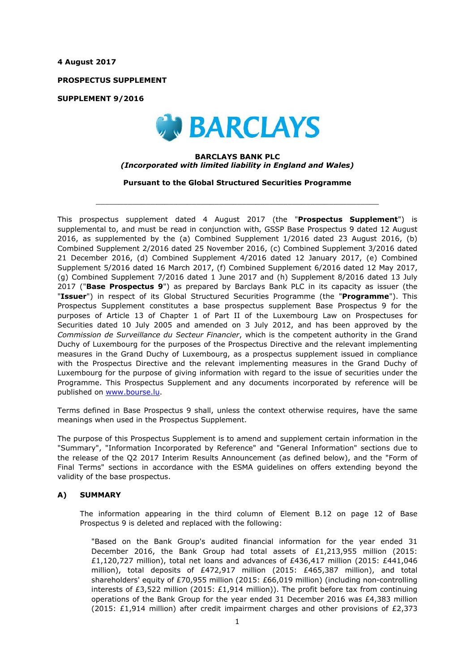**4 August 2017**

**PROSPECTUS SUPPLEMENT**

**SUPPLEMENT 9/2016**



### **BARCLAYS BANK PLC** *(Incorporated with limited liability in England and Wales)*

**Pursuant to the Global Structured Securities Programme**

 $\_$  ,  $\_$  ,  $\_$  ,  $\_$  ,  $\_$  ,  $\_$  ,  $\_$  ,  $\_$  ,  $\_$  ,  $\_$  ,  $\_$  ,  $\_$  ,  $\_$  ,  $\_$  ,  $\_$  ,  $\_$  ,  $\_$  ,  $\_$  ,  $\_$  ,  $\_$  ,  $\_$  ,  $\_$  ,  $\_$  ,  $\_$  ,  $\_$  ,  $\_$  ,  $\_$  ,  $\_$  ,  $\_$  ,  $\_$  ,  $\_$  ,  $\_$  ,  $\_$  ,  $\_$  ,  $\_$  ,  $\_$  ,  $\_$  ,

This prospectus supplement dated 4 August 2017 (the "**Prospectus Supplement**") is supplemental to, and must be read in conjunction with, GSSP Base Prospectus 9 dated 12 August 2016, as supplemented by the (a) Combined Supplement 1/2016 dated 23 August 2016, (b) Combined Supplement 2/2016 dated 25 November 2016, (c) Combined Supplement 3/2016 dated 21 December 2016, (d) Combined Supplement 4/2016 dated 12 January 2017, (e) Combined Supplement 5/2016 dated 16 March 2017, (f) Combined Supplement 6/2016 dated 12 May 2017, (g) Combined Supplement 7/2016 dated 1 June 2017 and (h) Supplement 8/2016 dated 13 July 2017 ("**Base Prospectus 9**") as prepared by Barclays Bank PLC in its capacity as issuer (the "**Issuer**") in respect of its Global Structured Securities Programme (the "**Programme**"). This Prospectus Supplement constitutes a base prospectus supplement Base Prospectus 9 for the purposes of Article 13 of Chapter 1 of Part II of the Luxembourg Law on Prospectuses for Securities dated 10 July 2005 and amended on 3 July 2012, and has been approved by the *Commission de Surveillance du Secteur Financier*, which is the competent authority in the Grand Duchy of Luxembourg for the purposes of the Prospectus Directive and the relevant implementing measures in the Grand Duchy of Luxembourg, as a prospectus supplement issued in compliance with the Prospectus Directive and the relevant implementing measures in the Grand Duchy of Luxembourg for the purpose of giving information with regard to the issue of securities under the Programme. This Prospectus Supplement and any documents incorporated by reference will be published on www.bourse.lu.

Terms defined in Base Prospectus 9 shall, unless the context otherwise requires, have the same meanings when used in the Prospectus Supplement.

The purpose of this Prospectus Supplement is to amend and supplement certain information in the "Summary", "Information Incorporated by Reference" and "General Information" sections due to the release of the Q2 2017 Interim Results Announcement (as defined below), and the "Form of Final Terms" sections in accordance with the ESMA guidelines on offers extending beyond the validity of the base prospectus.

## **A) SUMMARY**

The information appearing in the third column of Element B.12 on page 12 of Base Prospectus 9 is deleted and replaced with the following:

"Based on the Bank Group's audited financial information for the year ended 31 December 2016, the Bank Group had total assets of £1,213,955 million (2015: £1,120,727 million), total net loans and advances of £436,417 million (2015: £441,046 million), total deposits of £472,917 million (2015: £465,387 million), and total shareholders' equity of £70,955 million (2015: £66,019 million) (including non-controlling interests of £3,522 million (2015: £1,914 million)). The profit before tax from continuing operations of the Bank Group for the year ended 31 December 2016 was £4,383 million (2015: £1,914 million) after credit impairment charges and other provisions of £2,373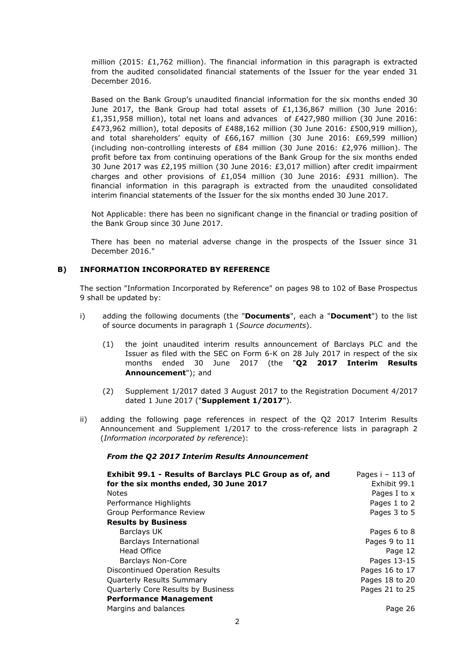million (2015: £1,762 million). The financial information in this paragraph is extracted from the audited consolidated financial statements of the Issuer for the year ended 31 December 2016.

Based on the Bank Group's unaudited financial information for the six months ended 30 June 2017, the Bank Group had total assets of £1,136,867 million (30 June 2016: £1,351,958 million), total net loans and advances of £427,980 million (30 June 2016: £473,962 million), total deposits of £488,162 million (30 June 2016: £500,919 million), and total shareholders' equity of £66,167 million (30 June 2016: £69,599 million) (including non-controlling interests of £84 million (30 June 2016: £2,976 million). The profit before tax from continuing operations of the Bank Group for the six months ended 30 June 2017 was £2,195 million (30 June 2016: £3,017 million) after credit impairment charges and other provisions of £1,054 million (30 June 2016: £931 million). The financial information in this paragraph is extracted from the unaudited consolidated interim financial statements of the Issuer for the six months ended 30 June 2017.

Not Applicable: there has been no significant change in the financial or trading position of the Bank Group since 30 June 2017.

There has been no material adverse change in the prospects of the Issuer since 31 December 2016."

# **B) INFORMATION INCORPORATED BY REFERENCE**

The section "Information Incorporated by Reference" on pages 98 to 102 of Base Prospectus 9 shall be updated by:

- i) adding the following documents (the "**Documents**", each a "**Document**") to the list of source documents in paragraph 1 (*Source documents*).
	- (1) the joint unaudited interim results announcement of Barclays PLC and the Issuer as filed with the SEC on Form 6-K on 28 July 2017 in respect of the six months ended 30 June 2017 (the "**Q2 2017 Interim Results Announcement**"); and
	- (2) Supplement 1/2017 dated 3 August 2017 to the Registration Document 4/2017 dated 1 June 2017 ("**Supplement 1/2017**").
- ii) adding the following page references in respect of the Q2 2017 Interim Results Announcement and Supplement 1/2017 to the cross-reference lists in paragraph 2 (*Information incorporated by reference*):

### *From the Q2 2017 Interim Results Announcement*

| Exhibit 99.1 - Results of Barclays PLC Group as of, and | Pages $i - 113$ of |
|---------------------------------------------------------|--------------------|
| for the six months ended, 30 June 2017                  | Exhibit 99.1       |
| <b>Notes</b>                                            | Pages I to x       |
| Performance Highlights                                  | Pages 1 to 2       |
| Group Performance Review                                | Pages 3 to 5       |
| <b>Results by Business</b>                              |                    |
| Barclays UK                                             | Pages 6 to 8       |
| Barclays International                                  | Pages 9 to 11      |
| Head Office                                             | Page 12            |
| Barclays Non-Core                                       | Pages 13-15        |
| Discontinued Operation Results                          | Pages 16 to 17     |
| Quarterly Results Summary                               | Pages 18 to 20     |
| Quarterly Core Results by Business                      | Pages 21 to 25     |
| <b>Performance Management</b>                           |                    |
| Margins and balances                                    | Page 26            |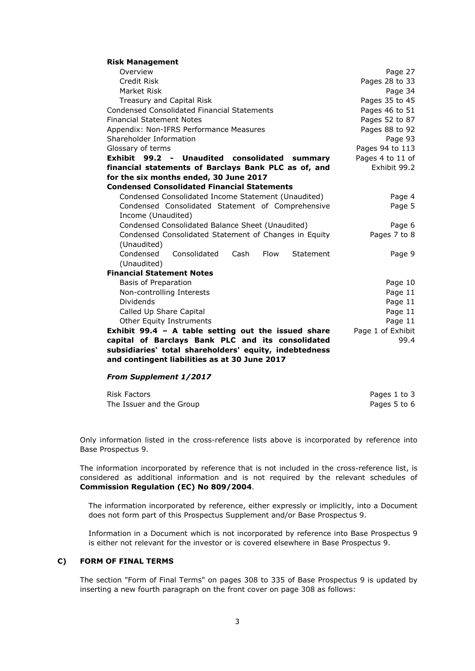#### **Risk Management**

| Overview                                               | Page 27           |
|--------------------------------------------------------|-------------------|
| Credit Risk                                            | Pages 28 to 33    |
| Market Risk                                            | Page 34           |
| Treasury and Capital Risk                              | Pages 35 to 45    |
| <b>Condensed Consolidated Financial Statements</b>     | Pages 46 to 51    |
| <b>Financial Statement Notes</b>                       | Pages 52 to 87    |
| Appendix: Non-IFRS Performance Measures                | Pages 88 to 92    |
| Shareholder Information                                | Page 93           |
| Glossary of terms                                      | Pages 94 to 113   |
| Exhibit 99.2 - Unaudited consolidated<br>summary       | Pages 4 to 11 of  |
| financial statements of Barclays Bank PLC as of, and   | Exhibit 99.2      |
| for the six months ended, 30 June 2017                 |                   |
| <b>Condensed Consolidated Financial Statements</b>     |                   |
| Condensed Consolidated Income Statement (Unaudited)    | Page 4            |
| Condensed Consolidated Statement of Comprehensive      | Page 5            |
| Income (Unaudited)                                     |                   |
| Condensed Consolidated Balance Sheet (Unaudited)       | Page 6            |
| Condensed Consolidated Statement of Changes in Equity  | Pages 7 to 8      |
| (Unaudited)                                            |                   |
| Condensed<br>Consolidated<br>Flow<br>Cash<br>Statement | Page 9            |
| (Unaudited)                                            |                   |
| <b>Financial Statement Notes</b>                       |                   |
| Basis of Preparation                                   | Page 10           |
| Non-controlling Interests                              | Page 11           |
| Dividends                                              | Page 11           |
| Called Up Share Capital                                | Page 11           |
| <b>Other Equity Instruments</b>                        | Page 11           |
| Exhibit 99.4 - A table setting out the issued share    | Page 1 of Exhibit |
| capital of Barclays Bank PLC and its consolidated      | 99.4              |
| subsidiaries' total shareholders' equity, indebtedness |                   |
| and contingent liabilities as at 30 June 2017          |                   |

### *From Supplement 1/2017*

| Risk Factors             | Pages 1 to 3 |
|--------------------------|--------------|
| The Issuer and the Group | Pages 5 to 6 |

Only information listed in the cross-reference lists above is incorporated by reference into Base Prospectus 9.

The information incorporated by reference that is not included in the cross-reference list, is considered as additional information and is not required by the relevant schedules of **Commission Regulation (EC) No 809/2004**.

The information incorporated by reference, either expressly or implicitly, into a Document does not form part of this Prospectus Supplement and/or Base Prospectus 9.

Information in a Document which is not incorporated by reference into Base Prospectus 9 is either not relevant for the investor or is covered elsewhere in Base Prospectus 9.

## **C) FORM OF FINAL TERMS**

The section "Form of Final Terms" on pages 308 to 335 of Base Prospectus 9 is updated by inserting a new fourth paragraph on the front cover on page 308 as follows: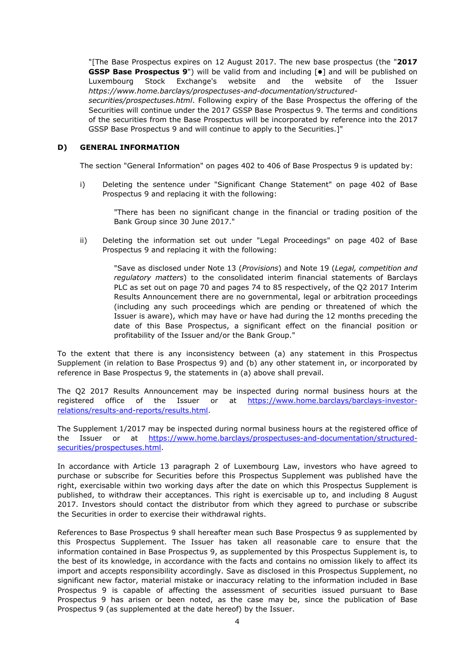"[The Base Prospectus expires on 12 August 2017. The new base prospectus (the "**2017 GSSP Base Prospectus 9") will be valid from and including**  $\bullet$  **and will be published on** Luxembourg Stock Exchange's website and the website of the Issuer *https://www.home.barclays/prospectuses-and-documentation/structured-*

*securities/prospectuses.html*. Following expiry of the Base Prospectus the offering of the Securities will continue under the 2017 GSSP Base Prospectus 9. The terms and conditions of the securities from the Base Prospectus will be incorporated by reference into the 2017 GSSP Base Prospectus 9 and will continue to apply to the Securities.]"

## **D) GENERAL INFORMATION**

The section "General Information" on pages 402 to 406 of Base Prospectus 9 is updated by:

i) Deleting the sentence under "Significant Change Statement" on page 402 of Base Prospectus 9 and replacing it with the following:

> "There has been no significant change in the financial or trading position of the Bank Group since 30 June 2017."

ii) Deleting the information set out under "Legal Proceedings" on page 402 of Base Prospectus 9 and replacing it with the following:

> "Save as disclosed under Note 13 (*Provisions*) and Note 19 (*Legal, competition and regulatory matters*) to the consolidated interim financial statements of Barclays PLC as set out on page 70 and pages 74 to 85 respectively, of the Q2 2017 Interim Results Announcement there are no governmental, legal or arbitration proceedings (including any such proceedings which are pending or threatened of which the Issuer is aware), which may have or have had during the 12 months preceding the date of this Base Prospectus, a significant effect on the financial position or profitability of the Issuer and/or the Bank Group."

To the extent that there is any inconsistency between (a) any statement in this Prospectus Supplement (in relation to Base Prospectus 9) and (b) any other statement in, or incorporated by reference in Base Prospectus 9, the statements in (a) above shall prevail.

The Q2 2017 Results Announcement may be inspected during normal business hours at the registered office of the Issuer or at https://www.home.barclays/barclays-investorrelations/results-and-reports/results.html.

The Supplement 1/2017 may be inspected during normal business hours at the registered office of the Issuer or at https://www.home.barclays/prospectuses-and-documentation/structuredsecurities/prospectuses.html.

In accordance with Article 13 paragraph 2 of Luxembourg Law, investors who have agreed to purchase or subscribe for Securities before this Prospectus Supplement was published have the right, exercisable within two working days after the date on which this Prospectus Supplement is published, to withdraw their acceptances. This right is exercisable up to, and including 8 August 2017. Investors should contact the distributor from which they agreed to purchase or subscribe the Securities in order to exercise their withdrawal rights.

References to Base Prospectus 9 shall hereafter mean such Base Prospectus 9 as supplemented by this Prospectus Supplement. The Issuer has taken all reasonable care to ensure that the information contained in Base Prospectus 9, as supplemented by this Prospectus Supplement is, to the best of its knowledge, in accordance with the facts and contains no omission likely to affect its import and accepts responsibility accordingly. Save as disclosed in this Prospectus Supplement, no significant new factor, material mistake or inaccuracy relating to the information included in Base Prospectus 9 is capable of affecting the assessment of securities issued pursuant to Base Prospectus 9 has arisen or been noted, as the case may be, since the publication of Base Prospectus 9 (as supplemented at the date hereof) by the Issuer.